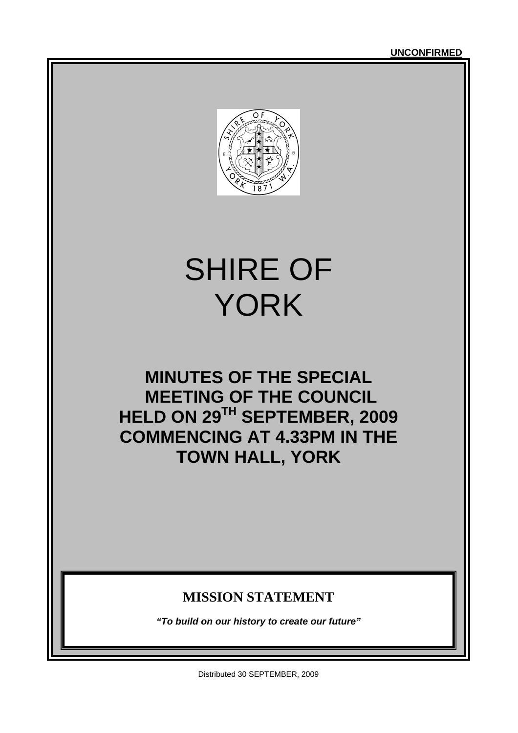

# SHIRE OF YORK

# **MINUTES OF THE SPECIAL MEETING OF THE COUNCIL HELD ON 29TH SEPTEMBER, 2009 COMMENCING AT 4.33PM IN THE TOWN HALL, YORK**

### **MISSION STATEMENT**

*"To build on our history to create our future"* 

Distributed 30 SEPTEMBER, 2009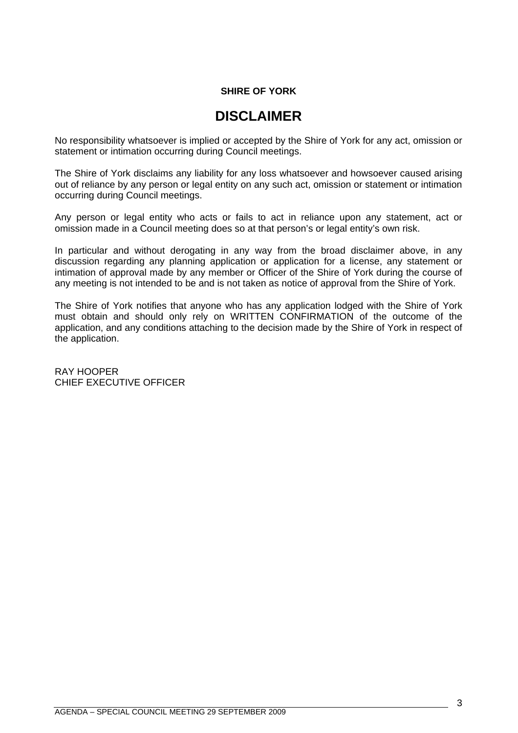#### **SHIRE OF YORK**

### **DISCLAIMER**

No responsibility whatsoever is implied or accepted by the Shire of York for any act, omission or statement or intimation occurring during Council meetings.

The Shire of York disclaims any liability for any loss whatsoever and howsoever caused arising out of reliance by any person or legal entity on any such act, omission or statement or intimation occurring during Council meetings.

Any person or legal entity who acts or fails to act in reliance upon any statement, act or omission made in a Council meeting does so at that person's or legal entity's own risk.

In particular and without derogating in any way from the broad disclaimer above, in any discussion regarding any planning application or application for a license, any statement or intimation of approval made by any member or Officer of the Shire of York during the course of any meeting is not intended to be and is not taken as notice of approval from the Shire of York.

The Shire of York notifies that anyone who has any application lodged with the Shire of York must obtain and should only rely on WRITTEN CONFIRMATION of the outcome of the application, and any conditions attaching to the decision made by the Shire of York in respect of the application.

RAY HOOPER CHIEF EXECUTIVE OFFICER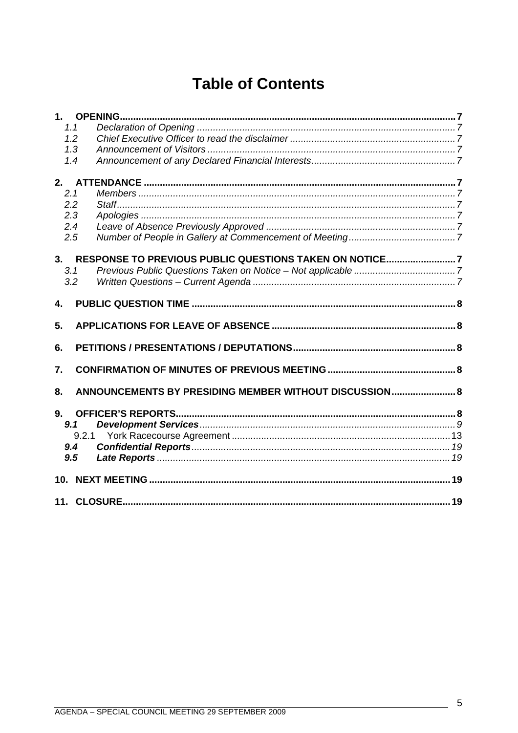# **Table of Contents**

| 1.1   |                                                        |  |
|-------|--------------------------------------------------------|--|
| 1.2   |                                                        |  |
| 1,3   |                                                        |  |
| 1.4   |                                                        |  |
|       |                                                        |  |
| 2.1   |                                                        |  |
| 2.2   |                                                        |  |
| 2.3   |                                                        |  |
| 2.4   |                                                        |  |
| 2.5   |                                                        |  |
| 3.    | RESPONSE TO PREVIOUS PUBLIC QUESTIONS TAKEN ON NOTICE7 |  |
| 3.1   |                                                        |  |
| 3.2   |                                                        |  |
| 4.    |                                                        |  |
| 5.    |                                                        |  |
| 6.    |                                                        |  |
| 7.    |                                                        |  |
| 8.    | ANNOUNCEMENTS BY PRESIDING MEMBER WITHOUT DISCUSSION 8 |  |
| 9.    |                                                        |  |
| 9.1   |                                                        |  |
| 9.2.1 |                                                        |  |
| 9.4   |                                                        |  |
| 9.5   |                                                        |  |
|       |                                                        |  |
|       |                                                        |  |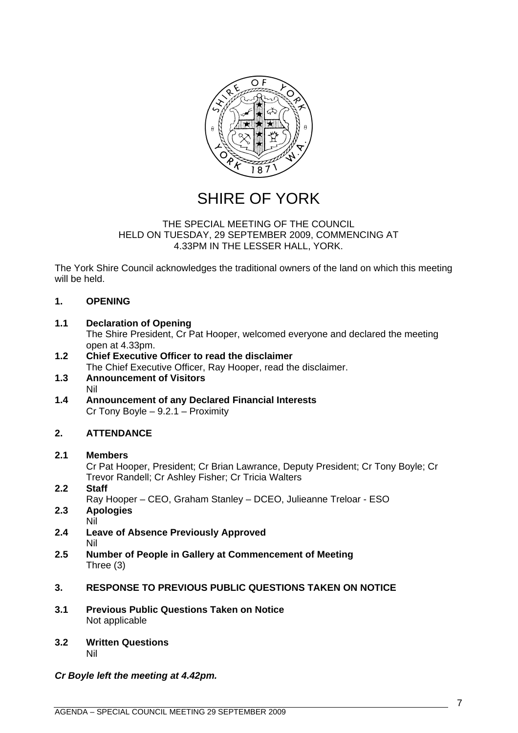<span id="page-6-0"></span>

### SHIRE OF YORK

#### THE SPECIAL MEETING OF THE COUNCIL HELD ON TUESDAY, 29 SEPTEMBER 2009, COMMENCING AT 4.33PM IN THE LESSER HALL, YORK.

The York Shire Council acknowledges the traditional owners of the land on which this meeting will be held.

#### **1. OPENING**

#### **1.1 Declaration of Opening**

The Shire President, Cr Pat Hooper, welcomed everyone and declared the meeting open at 4.33pm.

- **1.2 Chief Executive Officer to read the disclaimer**  The Chief Executive Officer, Ray Hooper, read the disclaimer.
- **1.3 Announcement of Visitors**  Nil
- **1.4 Announcement of any Declared Financial Interests**  Cr Tony Boyle – 9.2.1 – Proximity

#### **2. ATTENDANCE**

#### **2.1 Members**

Cr Pat Hooper, President; Cr Brian Lawrance, Deputy President; Cr Tony Boyle; Cr Trevor Randell; Cr Ashley Fisher; Cr Tricia Walters

- **2.2 Staff**
- Ray Hooper CEO, Graham Stanley DCEO, Julieanne Treloar ESO
- **2.3 Apologies**  Nil
- **2.4 Leave of Absence Previously Approved**  Nil
- **2.5 Number of People in Gallery at Commencement of Meeting**  Three (3)

#### **3. RESPONSE TO PREVIOUS PUBLIC QUESTIONS TAKEN ON NOTICE**

- **3.1 Previous Public Questions Taken on Notice**  Not applicable
- **3.2 Written Questions**  Nil

#### *Cr Boyle left the meeting at 4.42pm.*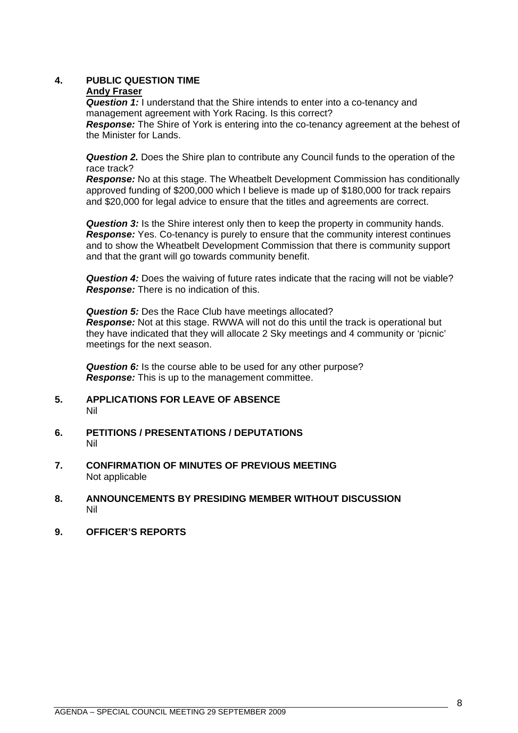#### <span id="page-7-0"></span>**4. PUBLIC QUESTION TIME**

#### **Andy Fraser**

**Question 1:** I understand that the Shire intends to enter into a co-tenancy and management agreement with York Racing. Is this correct?

**Response:** The Shire of York is entering into the co-tenancy agreement at the behest of the Minister for Lands.

*Question 2.* Does the Shire plan to contribute any Council funds to the operation of the race track?

*Response:* No at this stage. The Wheatbelt Development Commission has conditionally approved funding of \$200,000 which I believe is made up of \$180,000 for track repairs and \$20,000 for legal advice to ensure that the titles and agreements are correct.

**Question 3:** Is the Shire interest only then to keep the property in community hands. *Response:* Yes. Co-tenancy is purely to ensure that the community interest continues and to show the Wheatbelt Development Commission that there is community support and that the grant will go towards community benefit.

*Question 4:* Does the waiving of future rates indicate that the racing will not be viable? *Response:* There is no indication of this.

**Question 5:** Des the Race Club have meetings allocated? *Response:* Not at this stage. RWWA will not do this until the track is operational but they have indicated that they will allocate 2 Sky meetings and 4 community or 'picnic' meetings for the next season.

*Question 6:* Is the course able to be used for any other purpose? *Response:* This is up to the management committee.

- **5. APPLICATIONS FOR LEAVE OF ABSENCE**  Nil
- **6. PETITIONS / PRESENTATIONS / DEPUTATIONS**  Nil
- **7. CONFIRMATION OF MINUTES OF PREVIOUS MEETING**  Not applicable
- **8. ANNOUNCEMENTS BY PRESIDING MEMBER WITHOUT DISCUSSION**  Nil
- **9. OFFICER'S REPORTS**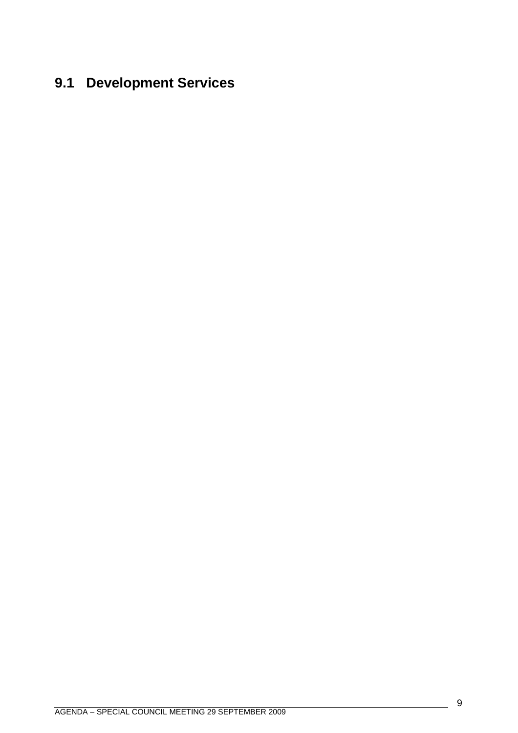# <span id="page-8-0"></span>**9.1 Development Services**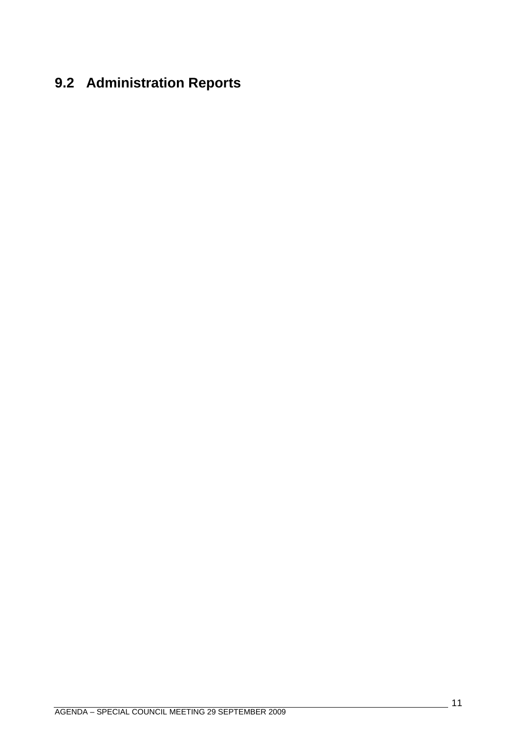# **9.2 Administration Reports**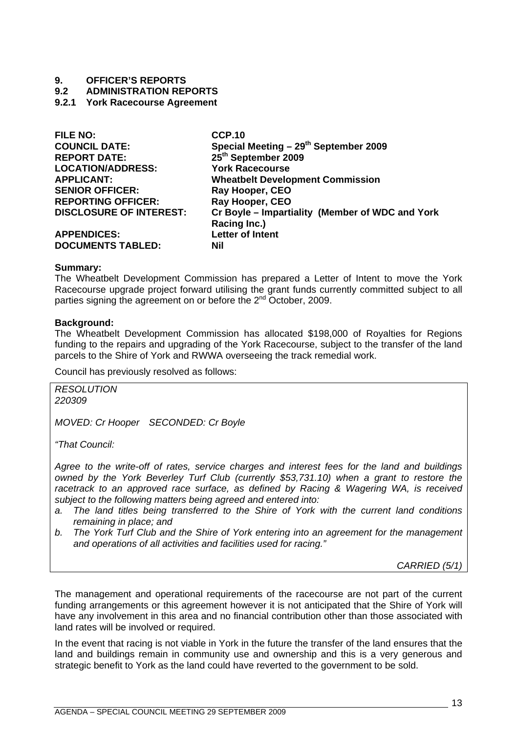# <span id="page-12-0"></span>**9. OFFICER'S REPORTS**

#### **9.2 ADMINISTRATION REPORTS**

#### **9.2.1 York Racecourse Agreement**

| <b>FILE NO:</b>                | <b>CCP.10</b>                                     |
|--------------------------------|---------------------------------------------------|
| <b>COUNCIL DATE:</b>           | Special Meeting - 29 <sup>th</sup> September 2009 |
| <b>REPORT DATE:</b>            | 25 <sup>th</sup> September 2009                   |
| <b>LOCATION/ADDRESS:</b>       | <b>York Racecourse</b>                            |
| <b>APPLICANT:</b>              | <b>Wheatbelt Development Commission</b>           |
| <b>SENIOR OFFICER:</b>         | Ray Hooper, CEO                                   |
| <b>REPORTING OFFICER:</b>      | Ray Hooper, CEO                                   |
| <b>DISCLOSURE OF INTEREST:</b> | Cr Boyle - Impartiality (Member of WDC and York   |
|                                | Racing Inc.)                                      |
| <b>APPENDICES:</b>             | <b>Letter of Intent</b>                           |
| <b>DOCUMENTS TABLED:</b>       | Nil                                               |

#### **Summary:**

The Wheatbelt Development Commission has prepared a Letter of Intent to move the York Racecourse upgrade project forward utilising the grant funds currently committed subject to all parties signing the agreement on or before the 2<sup>nd</sup> October, 2009.

#### **Background:**

The Wheatbelt Development Commission has allocated \$198,000 of Royalties for Regions funding to the repairs and upgrading of the York Racecourse, subject to the transfer of the land parcels to the Shire of York and RWWA overseeing the track remedial work.

Council has previously resolved as follows:

*RESOLUTION 220309* 

*MOVED: Cr Hooper SECONDED: Cr Boyle* 

*"That Council:* 

*Agree to the write-off of rates, service charges and interest fees for the land and buildings owned by the York Beverley Turf Club (currently \$53,731.10) when a grant to restore the*  racetrack to an approved race surface, as defined by Racing & Wagering WA, is received *subject to the following matters being agreed and entered into:* 

- *a. The land titles being transferred to the Shire of York with the current land conditions remaining in place; and*
- *b. The York Turf Club and the Shire of York entering into an agreement for the management and operations of all activities and facilities used for racing."*

*CARRIED (5/1)* 

The management and operational requirements of the racecourse are not part of the current funding arrangements or this agreement however it is not anticipated that the Shire of York will have any involvement in this area and no financial contribution other than those associated with land rates will be involved or required.

In the event that racing is not viable in York in the future the transfer of the land ensures that the land and buildings remain in community use and ownership and this is a very generous and strategic benefit to York as the land could have reverted to the government to be sold.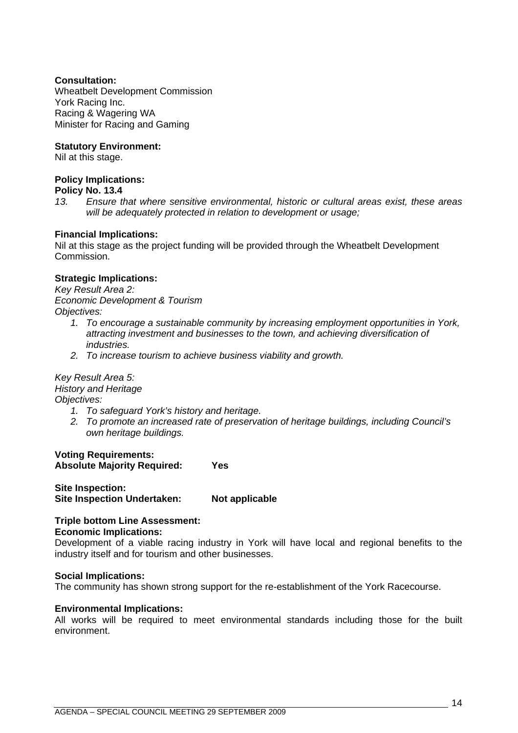#### **Consultation:**

Wheatbelt Development Commission York Racing Inc. Racing & Wagering WA Minister for Racing and Gaming

#### **Statutory Environment:**

Nil at this stage.

#### **Policy Implications:**

#### **Policy No. 13.4**

*13. Ensure that where sensitive environmental, historic or cultural areas exist, these areas will be adequately protected in relation to development or usage;* 

#### **Financial Implications:**

Nil at this stage as the project funding will be provided through the Wheatbelt Development Commission.

#### **Strategic Implications:**

*Key Result Area 2: Economic Development & Tourism Objectives:* 

- *1. To encourage a sustainable community by increasing employment opportunities in York, attracting investment and businesses to the town, and achieving diversification of industries.*
- *2. To increase tourism to achieve business viability and growth.*

#### *Key Result Area 5: History and Heritage*

*Objectives:* 

- *1. To safeguard York's history and heritage.*
- *2. To promote an increased rate of preservation of heritage buildings, including Council's own heritage buildings.*

**Voting Requirements: Absolute Majority Required: Yes** 

**Site Inspection: Site Inspection Undertaken: Not applicable** 

### **Triple bottom Line Assessment:**

#### **Economic Implications:**

Development of a viable racing industry in York will have local and regional benefits to the industry itself and for tourism and other businesses.

#### **Social Implications:**

The community has shown strong support for the re-establishment of the York Racecourse.

#### **Environmental Implications:**

All works will be required to meet environmental standards including those for the built environment.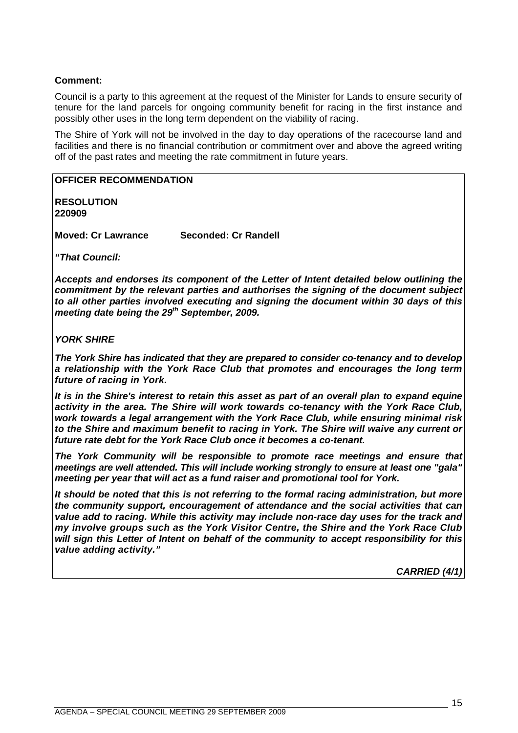#### **Comment:**

Council is a party to this agreement at the request of the Minister for Lands to ensure security of tenure for the land parcels for ongoing community benefit for racing in the first instance and possibly other uses in the long term dependent on the viability of racing.

The Shire of York will not be involved in the day to day operations of the racecourse land and facilities and there is no financial contribution or commitment over and above the agreed writing off of the past rates and meeting the rate commitment in future years.

#### **OFFICER RECOMMENDATION**

**RESOLUTION 220909** 

**Moved: Cr Lawrance Seconded: Cr Randell** 

*"That Council:* 

*Accepts and endorses its component of the Letter of Intent detailed below outlining the commitment by the relevant parties and authorises the signing of the document subject to all other parties involved executing and signing the document within 30 days of this meeting date being the 29th September, 2009.* 

#### *YORK SHIRE*

*The York Shire has indicated that they are prepared to consider co-tenancy and to develop a relationship with the York Race Club that promotes and encourages the long term future of racing in York.* 

*It is in the Shire's interest to retain this asset as part of an overall plan to expand equine activity in the area. The Shire will work towards co-tenancy with the York Race Club, work towards a legal arrangement with the York Race Club, while ensuring minimal risk to the Shire and maximum benefit to racing in York. The Shire will waive any current or future rate debt for the York Race Club once it becomes a co-tenant.* 

*The York Community will be responsible to promote race meetings and ensure that meetings are well attended. This will include working strongly to ensure at least one "gala" meeting per year that will act as a fund raiser and promotional tool for York.* 

*It should be noted that this is not referring to the formal racing administration, but more the community support, encouragement of attendance and the social activities that can value add to racing. While this activity may include non-race day uses for the track and my involve groups such as the York Visitor Centre, the Shire and the York Race Club will sign this Letter of Intent on behalf of the community to accept responsibility for this value adding activity."* 

*CARRIED (4/1)*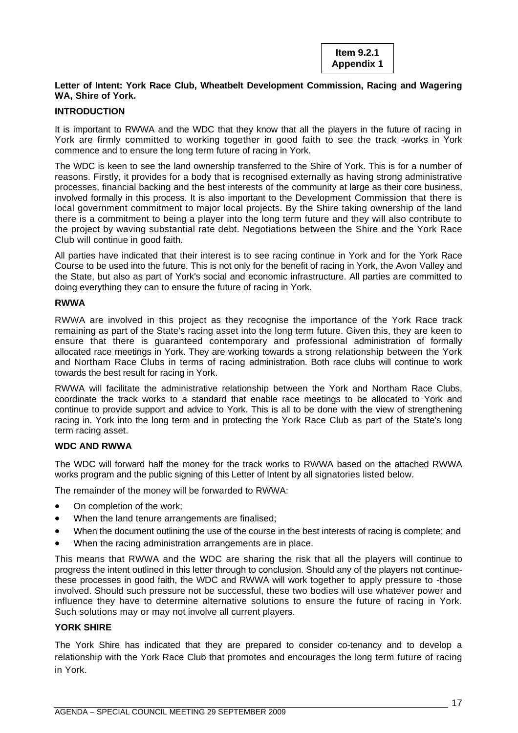#### **Letter of Intent: York Race Club, Wheatbelt Development Commission, Racing and Wagering WA, Shire of York.**

#### **INTRODUCTION**

It is important to RWWA and the WDC that they know that all the players in the future of racing in York are firmly committed to working together in good faith to see the track -works in York commence and to ensure the long term future of racing in York.

The WDC is keen to see the land ownership transferred to the Shire of York. This is for a number of reasons. Firstly, it provides for a body that is recognised externally as having strong administrative processes, financial backing and the best interests of the community at large as their core business, involved formally in this process. It is also important to the Development Commission that there is local government commitment to major local projects. By the Shire taking ownership of the land there is a commitment to being a player into the long term future and they will also contribute to the project by waving substantial rate debt. Negotiations between the Shire and the York Race Club will continue in good faith.

All parties have indicated that their interest is to see racing continue in York and for the York Race Course to be used into the future. This is not only for the benefit of racing in York, the Avon Valley and the State, but also as part of York's social and economic infrastructure. All parties are committed to doing everything they can to ensure the future of racing in York.

#### **RWWA**

RWWA are involved in this project as they recognise the importance of the York Race track remaining as part of the State's racing asset into the long term future. Given this, they are keen to ensure that there is guaranteed contemporary and professional administration of formally allocated race meetings in York. They are working towards a strong relationship between the York and Northam Race Clubs in terms of racing administration. Both race clubs will continue to work towards the best result for racing in York.

RWWA will facilitate the administrative relationship between the York and Northam Race Clubs, coordinate the track works to a standard that enable race meetings to be allocated to York and continue to provide support and advice to York. This is all to be done with the view of strengthening racing in. York into the long term and in protecting the York Race Club as part of the State's long term racing asset.

#### **WDC AND RWWA**

The WDC will forward half the money for the track works to RWWA based on the attached RWWA works program and the public signing of this Letter of Intent by all signatories listed below.

The remainder of the money will be forwarded to RWWA:

- On completion of the work;
- When the land tenure arrangements are finalised;
- When the document outlining the use of the course in the best interests of racing is complete; and
- When the racing administration arrangements are in place.

This means that RWWA and the WDC are sharing the risk that all the players will continue to progress the intent outlined in this letter through to conclusion. Should any of the players not continuethese processes in good faith, the WDC and RWWA will work together to apply pressure to -those involved. Should such pressure not be successful, these two bodies will use whatever power and influence they have to determine alternative solutions to ensure the future of racing in York. Such solutions may or may not involve all current players.

#### **YORK SHIRE**

The York Shire has indicated that they are prepared to consider co-tenancy and to develop a relationship with the York Race Club that promotes and encourages the long term future of racing in York.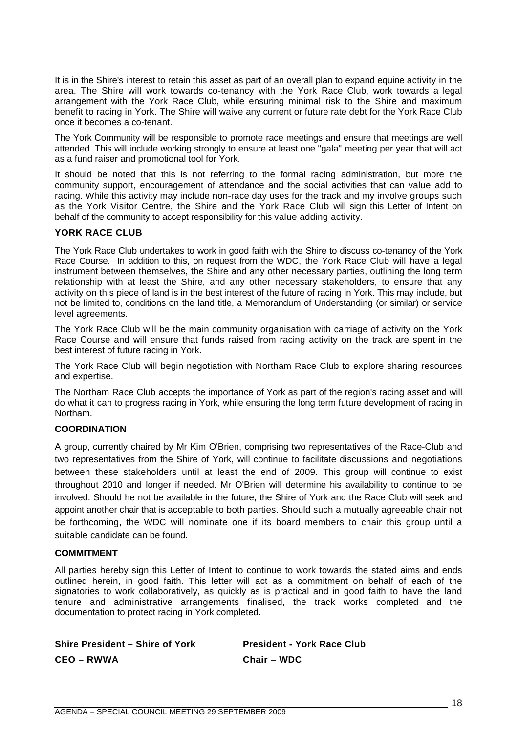It is in the Shire's interest to retain this asset as part of an overall plan to expand equine activity in the area. The Shire will work towards co-tenancy with the York Race Club, work towards a legal arrangement with the York Race Club, while ensuring minimal risk to the Shire and maximum benefit to racing in York. The Shire will waive any current or future rate debt for the York Race Club once it becomes a co-tenant.

The York Community will be responsible to promote race meetings and ensure that meetings are well attended. This will include working strongly to ensure at least one "gala" meeting per year that will act as a fund raiser and promotional tool for York.

It should be noted that this is not referring to the formal racing administration, but more the community support, encouragement of attendance and the social activities that can value add to racing. While this activity may include non-race day uses for the track and my involve groups such as the York Visitor Centre, the Shire and the York Race Club will sign this Letter of Intent on behalf of the community to accept responsibility for this value adding activity.

#### **YORK RACE CLUB**

The York Race Club undertakes to work in good faith with the Shire to discuss co-tenancy of the York Race Course. In addition to this, on request from the WDC, the York Race Club will have a legal instrument between themselves, the Shire and any other necessary parties, outlining the long term relationship with at least the Shire, and any other necessary stakeholders, to ensure that any activity on this piece of land is in the best interest of the future of racing in York. This may include, but not be limited to, conditions on the land title, a Memorandum of Understanding (or similar) or service level agreements.

The York Race Club will be the main community organisation with carriage of activity on the York Race Course and will ensure that funds raised from racing activity on the track are spent in the best interest of future racing in York.

The York Race Club will begin negotiation with Northam Race Club to explore sharing resources and expertise.

The Northam Race Club accepts the importance of York as part of the region's racing asset and will do what it can to progress racing in York, while ensuring the long term future development of racing in Northam.

#### **COORDINATION**

A group, currently chaired by Mr Kim O'Brien, comprising two representatives of the Race-Club and two representatives from the Shire of York, will continue to facilitate discussions and negotiations between these stakeholders until at least the end of 2009. This group will continue to exist throughout 2010 and longer if needed. Mr O'Brien will determine his availability to continue to be involved. Should he not be available in the future, the Shire of York and the Race Club will seek and appoint another chair that is acceptable to both parties. Should such a mutually agreeable chair not be forthcoming, the WDC will nominate one if its board members to chair this group until a suitable candidate can be found.

#### **COMMITMENT**

All parties hereby sign this Letter of Intent to continue to work towards the stated aims and ends outlined herein, in good faith. This letter will act as a commitment on behalf of each of the signatories to work collaboratively, as quickly as is practical and in good faith to have the land tenure and administrative arrangements finalised, the track works completed and the documentation to protect racing in York completed.

**Shire President – Shire of York President - York Race Club CEO – RWWA Chair – WDC**